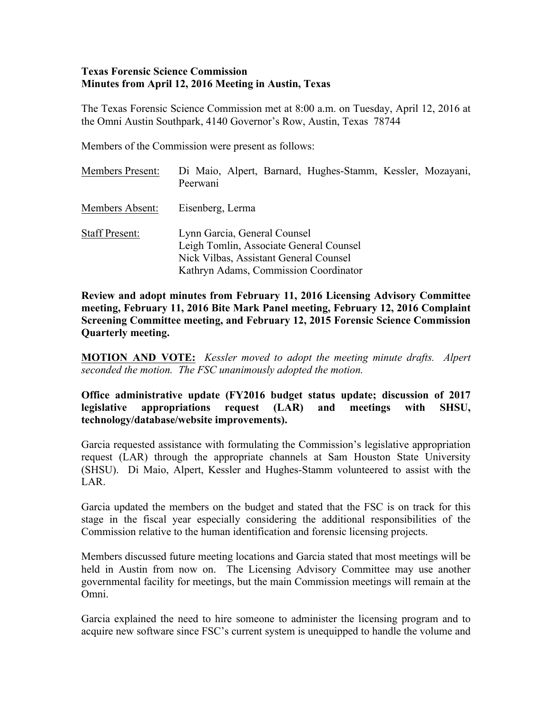#### **Texas Forensic Science Commission Minutes from April 12, 2016 Meeting in Austin, Texas**

The Texas Forensic Science Commission met at 8:00 a.m. on Tuesday, April 12, 2016 at the Omni Austin Southpark, 4140 Governor's Row, Austin, Texas 78744

Members of the Commission were present as follows:

| <b>Members Present:</b> | Di Maio, Alpert, Barnard, Hughes-Stamm, Kessler, Mozayani,<br>Peerwani                                                                                     |
|-------------------------|------------------------------------------------------------------------------------------------------------------------------------------------------------|
| Members Absent:         | Eisenberg, Lerma                                                                                                                                           |
| <b>Staff Present:</b>   | Lynn Garcia, General Counsel<br>Leigh Tomlin, Associate General Counsel<br>Nick Vilbas, Assistant General Counsel<br>Kathryn Adams, Commission Coordinator |

**Review and adopt minutes from February 11, 2016 Licensing Advisory Committee meeting, February 11, 2016 Bite Mark Panel meeting, February 12, 2016 Complaint Screening Committee meeting, and February 12, 2015 Forensic Science Commission Quarterly meeting.**

**MOTION AND VOTE:** *Kessler moved to adopt the meeting minute drafts. Alpert seconded the motion. The FSC unanimously adopted the motion.*

**Office administrative update (FY2016 budget status update; discussion of 2017 legislative appropriations request (LAR) and meetings with SHSU, technology/database/website improvements).**

Garcia requested assistance with formulating the Commission's legislative appropriation request (LAR) through the appropriate channels at Sam Houston State University (SHSU). Di Maio, Alpert, Kessler and Hughes-Stamm volunteered to assist with the LAR.

Garcia updated the members on the budget and stated that the FSC is on track for this stage in the fiscal year especially considering the additional responsibilities of the Commission relative to the human identification and forensic licensing projects.

Members discussed future meeting locations and Garcia stated that most meetings will be held in Austin from now on. The Licensing Advisory Committee may use another governmental facility for meetings, but the main Commission meetings will remain at the Omni.

Garcia explained the need to hire someone to administer the licensing program and to acquire new software since FSC's current system is unequipped to handle the volume and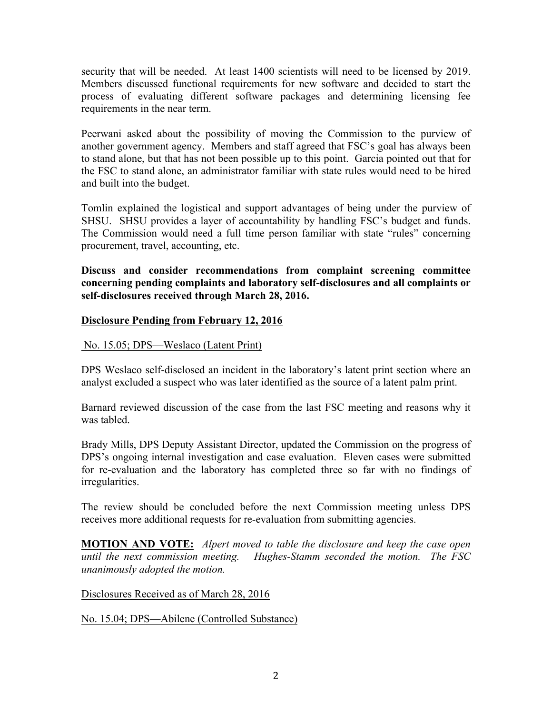security that will be needed. At least 1400 scientists will need to be licensed by 2019. Members discussed functional requirements for new software and decided to start the process of evaluating different software packages and determining licensing fee requirements in the near term.

Peerwani asked about the possibility of moving the Commission to the purview of another government agency. Members and staff agreed that FSC's goal has always been to stand alone, but that has not been possible up to this point. Garcia pointed out that for the FSC to stand alone, an administrator familiar with state rules would need to be hired and built into the budget.

Tomlin explained the logistical and support advantages of being under the purview of SHSU. SHSU provides a layer of accountability by handling FSC's budget and funds. The Commission would need a full time person familiar with state "rules" concerning procurement, travel, accounting, etc.

**Discuss and consider recommendations from complaint screening committee concerning pending complaints and laboratory self-disclosures and all complaints or self-disclosures received through March 28, 2016.** 

# **Disclosure Pending from February 12, 2016**

No. 15.05; DPS—Weslaco (Latent Print)

DPS Weslaco self-disclosed an incident in the laboratory's latent print section where an analyst excluded a suspect who was later identified as the source of a latent palm print.

Barnard reviewed discussion of the case from the last FSC meeting and reasons why it was tabled.

Brady Mills, DPS Deputy Assistant Director, updated the Commission on the progress of DPS's ongoing internal investigation and case evaluation. Eleven cases were submitted for re-evaluation and the laboratory has completed three so far with no findings of irregularities.

The review should be concluded before the next Commission meeting unless DPS receives more additional requests for re-evaluation from submitting agencies.

**MOTION AND VOTE:** *Alpert moved to table the disclosure and keep the case open until the next commission meeting. Hughes-Stamm seconded the motion. The FSC unanimously adopted the motion.*

Disclosures Received as of March 28, 2016

No. 15.04; DPS—Abilene (Controlled Substance)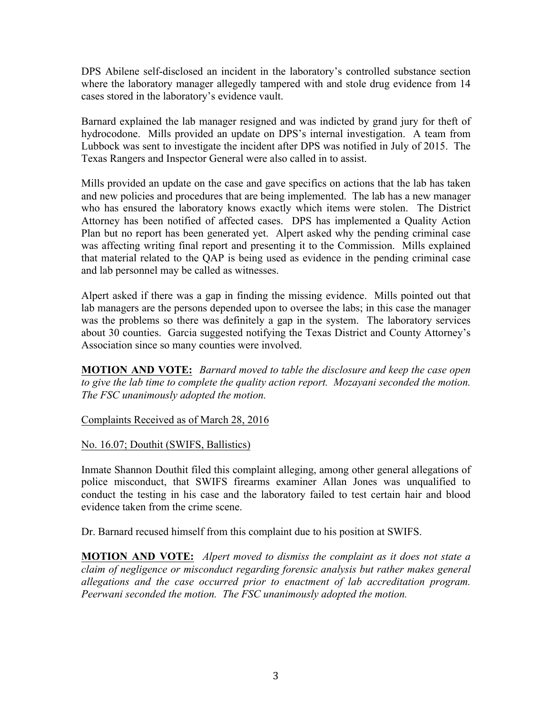DPS Abilene self-disclosed an incident in the laboratory's controlled substance section where the laboratory manager allegedly tampered with and stole drug evidence from 14 cases stored in the laboratory's evidence vault.

Barnard explained the lab manager resigned and was indicted by grand jury for theft of hydrocodone. Mills provided an update on DPS's internal investigation. A team from Lubbock was sent to investigate the incident after DPS was notified in July of 2015. The Texas Rangers and Inspector General were also called in to assist.

Mills provided an update on the case and gave specifics on actions that the lab has taken and new policies and procedures that are being implemented. The lab has a new manager who has ensured the laboratory knows exactly which items were stolen. The District Attorney has been notified of affected cases. DPS has implemented a Quality Action Plan but no report has been generated yet. Alpert asked why the pending criminal case was affecting writing final report and presenting it to the Commission. Mills explained that material related to the QAP is being used as evidence in the pending criminal case and lab personnel may be called as witnesses.

Alpert asked if there was a gap in finding the missing evidence. Mills pointed out that lab managers are the persons depended upon to oversee the labs; in this case the manager was the problems so there was definitely a gap in the system. The laboratory services about 30 counties. Garcia suggested notifying the Texas District and County Attorney's Association since so many counties were involved.

**MOTION AND VOTE:** *Barnard moved to table the disclosure and keep the case open to give the lab time to complete the quality action report. Mozayani seconded the motion. The FSC unanimously adopted the motion.*

Complaints Received as of March 28, 2016

No. 16.07; Douthit (SWIFS, Ballistics)

Inmate Shannon Douthit filed this complaint alleging, among other general allegations of police misconduct, that SWIFS firearms examiner Allan Jones was unqualified to conduct the testing in his case and the laboratory failed to test certain hair and blood evidence taken from the crime scene.

Dr. Barnard recused himself from this complaint due to his position at SWIFS.

**MOTION AND VOTE:** *Alpert moved to dismiss the complaint as it does not state a claim of negligence or misconduct regarding forensic analysis but rather makes general allegations and the case occurred prior to enactment of lab accreditation program. Peerwani seconded the motion. The FSC unanimously adopted the motion.*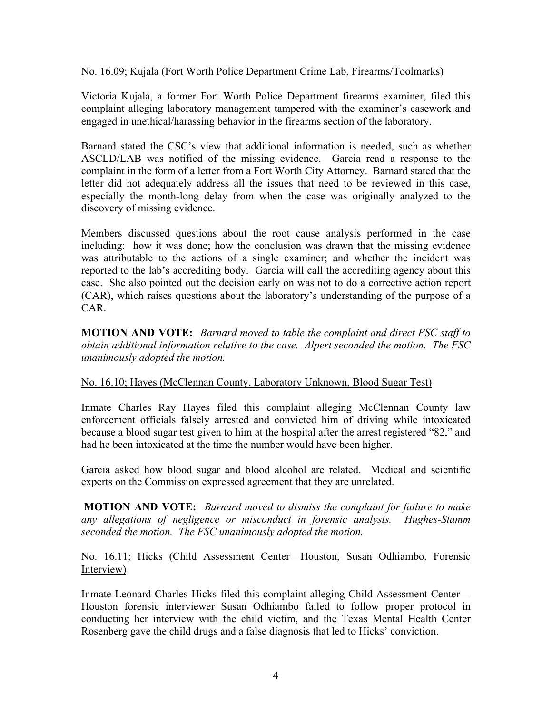## No. 16.09; Kujala (Fort Worth Police Department Crime Lab, Firearms/Toolmarks)

Victoria Kujala, a former Fort Worth Police Department firearms examiner, filed this complaint alleging laboratory management tampered with the examiner's casework and engaged in unethical/harassing behavior in the firearms section of the laboratory.

Barnard stated the CSC's view that additional information is needed, such as whether ASCLD/LAB was notified of the missing evidence. Garcia read a response to the complaint in the form of a letter from a Fort Worth City Attorney. Barnard stated that the letter did not adequately address all the issues that need to be reviewed in this case, especially the month-long delay from when the case was originally analyzed to the discovery of missing evidence.

Members discussed questions about the root cause analysis performed in the case including: how it was done; how the conclusion was drawn that the missing evidence was attributable to the actions of a single examiner; and whether the incident was reported to the lab's accrediting body. Garcia will call the accrediting agency about this case. She also pointed out the decision early on was not to do a corrective action report (CAR), which raises questions about the laboratory's understanding of the purpose of a CAR.

**MOTION AND VOTE:** *Barnard moved to table the complaint and direct FSC staff to obtain additional information relative to the case. Alpert seconded the motion. The FSC unanimously adopted the motion.*

# No. 16.10; Hayes (McClennan County, Laboratory Unknown, Blood Sugar Test)

Inmate Charles Ray Hayes filed this complaint alleging McClennan County law enforcement officials falsely arrested and convicted him of driving while intoxicated because a blood sugar test given to him at the hospital after the arrest registered "82," and had he been intoxicated at the time the number would have been higher.

Garcia asked how blood sugar and blood alcohol are related. Medical and scientific experts on the Commission expressed agreement that they are unrelated.

**MOTION AND VOTE:** *Barnard moved to dismiss the complaint for failure to make any allegations of negligence or misconduct in forensic analysis. Hughes-Stamm seconded the motion. The FSC unanimously adopted the motion.*

### No. 16.11; Hicks (Child Assessment Center—Houston, Susan Odhiambo, Forensic Interview)

Inmate Leonard Charles Hicks filed this complaint alleging Child Assessment Center— Houston forensic interviewer Susan Odhiambo failed to follow proper protocol in conducting her interview with the child victim, and the Texas Mental Health Center Rosenberg gave the child drugs and a false diagnosis that led to Hicks' conviction.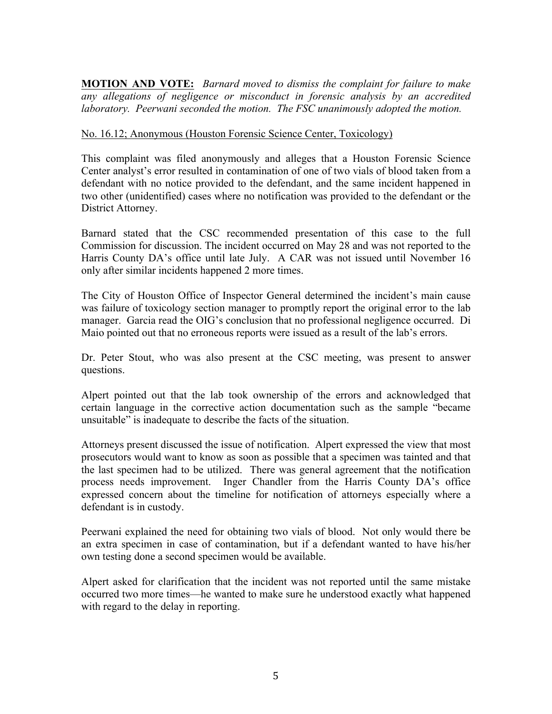**MOTION AND VOTE:** *Barnard moved to dismiss the complaint for failure to make any allegations of negligence or misconduct in forensic analysis by an accredited laboratory. Peerwani seconded the motion. The FSC unanimously adopted the motion.*

## No. 16.12; Anonymous (Houston Forensic Science Center, Toxicology)

This complaint was filed anonymously and alleges that a Houston Forensic Science Center analyst's error resulted in contamination of one of two vials of blood taken from a defendant with no notice provided to the defendant, and the same incident happened in two other (unidentified) cases where no notification was provided to the defendant or the District Attorney.

Barnard stated that the CSC recommended presentation of this case to the full Commission for discussion. The incident occurred on May 28 and was not reported to the Harris County DA's office until late July. A CAR was not issued until November 16 only after similar incidents happened 2 more times.

The City of Houston Office of Inspector General determined the incident's main cause was failure of toxicology section manager to promptly report the original error to the lab manager. Garcia read the OIG's conclusion that no professional negligence occurred. Di Maio pointed out that no erroneous reports were issued as a result of the lab's errors.

Dr. Peter Stout, who was also present at the CSC meeting, was present to answer questions.

Alpert pointed out that the lab took ownership of the errors and acknowledged that certain language in the corrective action documentation such as the sample "became unsuitable" is inadequate to describe the facts of the situation.

Attorneys present discussed the issue of notification. Alpert expressed the view that most prosecutors would want to know as soon as possible that a specimen was tainted and that the last specimen had to be utilized. There was general agreement that the notification process needs improvement. Inger Chandler from the Harris County DA's office expressed concern about the timeline for notification of attorneys especially where a defendant is in custody.

Peerwani explained the need for obtaining two vials of blood. Not only would there be an extra specimen in case of contamination, but if a defendant wanted to have his/her own testing done a second specimen would be available.

Alpert asked for clarification that the incident was not reported until the same mistake occurred two more times—he wanted to make sure he understood exactly what happened with regard to the delay in reporting.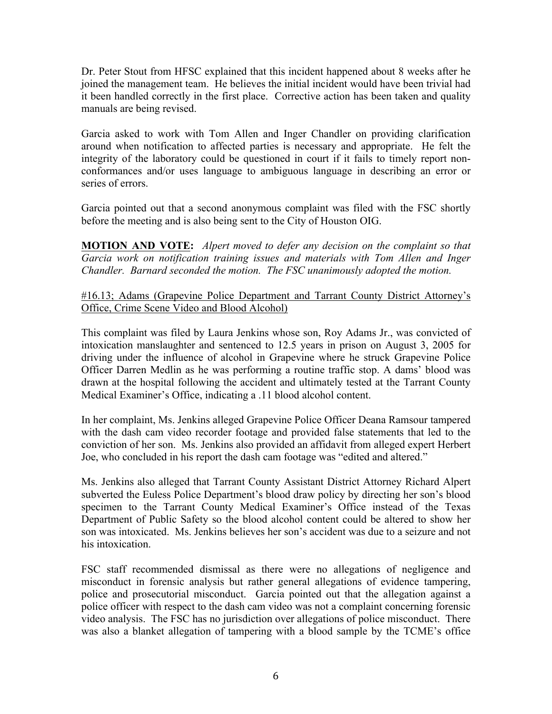Dr. Peter Stout from HFSC explained that this incident happened about 8 weeks after he joined the management team. He believes the initial incident would have been trivial had it been handled correctly in the first place. Corrective action has been taken and quality manuals are being revised.

Garcia asked to work with Tom Allen and Inger Chandler on providing clarification around when notification to affected parties is necessary and appropriate. He felt the integrity of the laboratory could be questioned in court if it fails to timely report nonconformances and/or uses language to ambiguous language in describing an error or series of errors.

Garcia pointed out that a second anonymous complaint was filed with the FSC shortly before the meeting and is also being sent to the City of Houston OIG.

**MOTION AND VOTE:** *Alpert moved to defer any decision on the complaint so that Garcia work on notification training issues and materials with Tom Allen and Inger Chandler. Barnard seconded the motion. The FSC unanimously adopted the motion.* 

#16.13; Adams (Grapevine Police Department and Tarrant County District Attorney's Office, Crime Scene Video and Blood Alcohol)

This complaint was filed by Laura Jenkins whose son, Roy Adams Jr., was convicted of intoxication manslaughter and sentenced to 12.5 years in prison on August 3, 2005 for driving under the influence of alcohol in Grapevine where he struck Grapevine Police Officer Darren Medlin as he was performing a routine traffic stop. A dams' blood was drawn at the hospital following the accident and ultimately tested at the Tarrant County Medical Examiner's Office, indicating a .11 blood alcohol content.

In her complaint, Ms. Jenkins alleged Grapevine Police Officer Deana Ramsour tampered with the dash cam video recorder footage and provided false statements that led to the conviction of her son. Ms. Jenkins also provided an affidavit from alleged expert Herbert Joe, who concluded in his report the dash cam footage was "edited and altered."

Ms. Jenkins also alleged that Tarrant County Assistant District Attorney Richard Alpert subverted the Euless Police Department's blood draw policy by directing her son's blood specimen to the Tarrant County Medical Examiner's Office instead of the Texas Department of Public Safety so the blood alcohol content could be altered to show her son was intoxicated. Ms. Jenkins believes her son's accident was due to a seizure and not his intoxication.

FSC staff recommended dismissal as there were no allegations of negligence and misconduct in forensic analysis but rather general allegations of evidence tampering, police and prosecutorial misconduct. Garcia pointed out that the allegation against a police officer with respect to the dash cam video was not a complaint concerning forensic video analysis. The FSC has no jurisdiction over allegations of police misconduct. There was also a blanket allegation of tampering with a blood sample by the TCME's office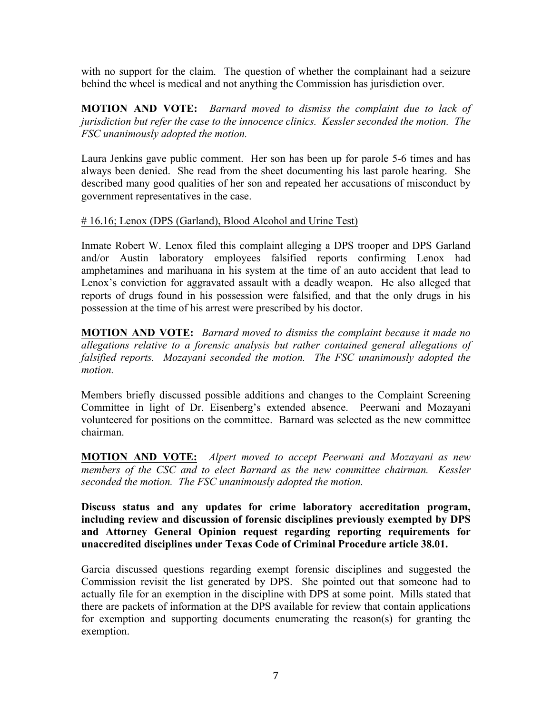with no support for the claim. The question of whether the complainant had a seizure behind the wheel is medical and not anything the Commission has jurisdiction over.

**MOTION AND VOTE:** *Barnard moved to dismiss the complaint due to lack of jurisdiction but refer the case to the innocence clinics. Kessler seconded the motion. The FSC unanimously adopted the motion.*

Laura Jenkins gave public comment. Her son has been up for parole 5-6 times and has always been denied. She read from the sheet documenting his last parole hearing. She described many good qualities of her son and repeated her accusations of misconduct by government representatives in the case.

# # 16.16; Lenox (DPS (Garland), Blood Alcohol and Urine Test)

Inmate Robert W. Lenox filed this complaint alleging a DPS trooper and DPS Garland and/or Austin laboratory employees falsified reports confirming Lenox had amphetamines and marihuana in his system at the time of an auto accident that lead to Lenox's conviction for aggravated assault with a deadly weapon. He also alleged that reports of drugs found in his possession were falsified, and that the only drugs in his possession at the time of his arrest were prescribed by his doctor.

**MOTION AND VOTE:** *Barnard moved to dismiss the complaint because it made no allegations relative to a forensic analysis but rather contained general allegations of falsified reports. Mozayani seconded the motion. The FSC unanimously adopted the motion.* 

Members briefly discussed possible additions and changes to the Complaint Screening Committee in light of Dr. Eisenberg's extended absence. Peerwani and Mozayani volunteered for positions on the committee. Barnard was selected as the new committee chairman.

**MOTION AND VOTE:** *Alpert moved to accept Peerwani and Mozayani as new members of the CSC and to elect Barnard as the new committee chairman. Kessler seconded the motion. The FSC unanimously adopted the motion.* 

**Discuss status and any updates for crime laboratory accreditation program, including review and discussion of forensic disciplines previously exempted by DPS and Attorney General Opinion request regarding reporting requirements for unaccredited disciplines under Texas Code of Criminal Procedure article 38.01.**

Garcia discussed questions regarding exempt forensic disciplines and suggested the Commission revisit the list generated by DPS. She pointed out that someone had to actually file for an exemption in the discipline with DPS at some point. Mills stated that there are packets of information at the DPS available for review that contain applications for exemption and supporting documents enumerating the reason(s) for granting the exemption.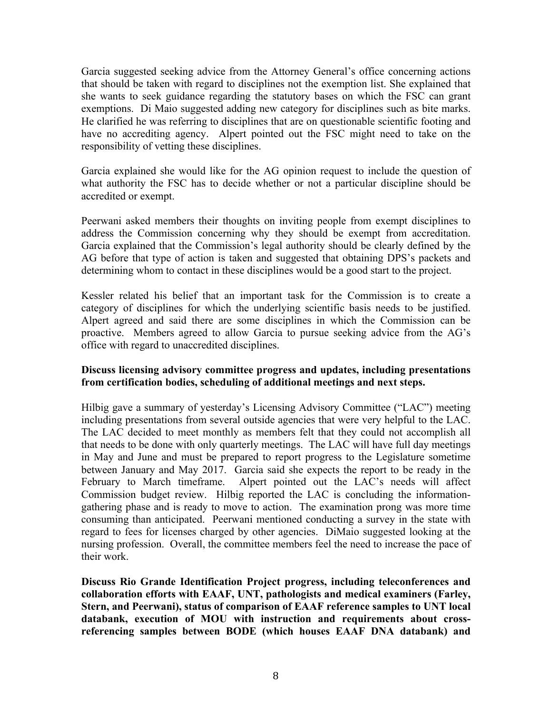Garcia suggested seeking advice from the Attorney General's office concerning actions that should be taken with regard to disciplines not the exemption list. She explained that she wants to seek guidance regarding the statutory bases on which the FSC can grant exemptions. Di Maio suggested adding new category for disciplines such as bite marks. He clarified he was referring to disciplines that are on questionable scientific footing and have no accrediting agency. Alpert pointed out the FSC might need to take on the responsibility of vetting these disciplines.

Garcia explained she would like for the AG opinion request to include the question of what authority the FSC has to decide whether or not a particular discipline should be accredited or exempt.

Peerwani asked members their thoughts on inviting people from exempt disciplines to address the Commission concerning why they should be exempt from accreditation. Garcia explained that the Commission's legal authority should be clearly defined by the AG before that type of action is taken and suggested that obtaining DPS's packets and determining whom to contact in these disciplines would be a good start to the project.

Kessler related his belief that an important task for the Commission is to create a category of disciplines for which the underlying scientific basis needs to be justified. Alpert agreed and said there are some disciplines in which the Commission can be proactive. Members agreed to allow Garcia to pursue seeking advice from the AG's office with regard to unaccredited disciplines.

#### **Discuss licensing advisory committee progress and updates, including presentations from certification bodies, scheduling of additional meetings and next steps.**

Hilbig gave a summary of yesterday's Licensing Advisory Committee ("LAC") meeting including presentations from several outside agencies that were very helpful to the LAC. The LAC decided to meet monthly as members felt that they could not accomplish all that needs to be done with only quarterly meetings. The LAC will have full day meetings in May and June and must be prepared to report progress to the Legislature sometime between January and May 2017. Garcia said she expects the report to be ready in the February to March timeframe. Alpert pointed out the LAC's needs will affect Commission budget review. Hilbig reported the LAC is concluding the informationgathering phase and is ready to move to action. The examination prong was more time consuming than anticipated. Peerwani mentioned conducting a survey in the state with regard to fees for licenses charged by other agencies. DiMaio suggested looking at the nursing profession. Overall, the committee members feel the need to increase the pace of their work.

**Discuss Rio Grande Identification Project progress, including teleconferences and collaboration efforts with EAAF, UNT, pathologists and medical examiners (Farley, Stern, and Peerwani), status of comparison of EAAF reference samples to UNT local databank, execution of MOU with instruction and requirements about crossreferencing samples between BODE (which houses EAAF DNA databank) and**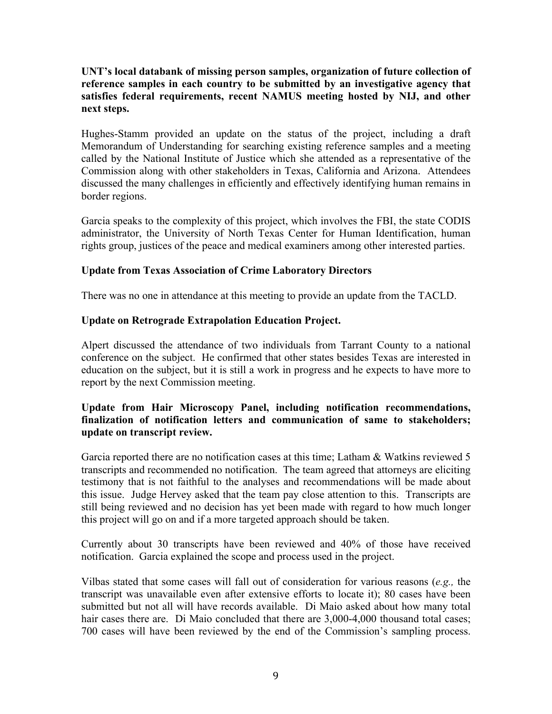## **UNT's local databank of missing person samples, organization of future collection of reference samples in each country to be submitted by an investigative agency that satisfies federal requirements, recent NAMUS meeting hosted by NIJ, and other next steps.**

Hughes-Stamm provided an update on the status of the project, including a draft Memorandum of Understanding for searching existing reference samples and a meeting called by the National Institute of Justice which she attended as a representative of the Commission along with other stakeholders in Texas, California and Arizona. Attendees discussed the many challenges in efficiently and effectively identifying human remains in border regions.

Garcia speaks to the complexity of this project, which involves the FBI, the state CODIS administrator, the University of North Texas Center for Human Identification, human rights group, justices of the peace and medical examiners among other interested parties.

#### **Update from Texas Association of Crime Laboratory Directors**

There was no one in attendance at this meeting to provide an update from the TACLD.

#### **Update on Retrograde Extrapolation Education Project.**

Alpert discussed the attendance of two individuals from Tarrant County to a national conference on the subject. He confirmed that other states besides Texas are interested in education on the subject, but it is still a work in progress and he expects to have more to report by the next Commission meeting.

# **Update from Hair Microscopy Panel, including notification recommendations, finalization of notification letters and communication of same to stakeholders; update on transcript review.**

Garcia reported there are no notification cases at this time; Latham & Watkins reviewed 5 transcripts and recommended no notification. The team agreed that attorneys are eliciting testimony that is not faithful to the analyses and recommendations will be made about this issue. Judge Hervey asked that the team pay close attention to this. Transcripts are still being reviewed and no decision has yet been made with regard to how much longer this project will go on and if a more targeted approach should be taken.

Currently about 30 transcripts have been reviewed and 40% of those have received notification. Garcia explained the scope and process used in the project.

Vilbas stated that some cases will fall out of consideration for various reasons (*e.g.,* the transcript was unavailable even after extensive efforts to locate it); 80 cases have been submitted but not all will have records available. Di Maio asked about how many total hair cases there are. Di Maio concluded that there are 3,000-4,000 thousand total cases; 700 cases will have been reviewed by the end of the Commission's sampling process.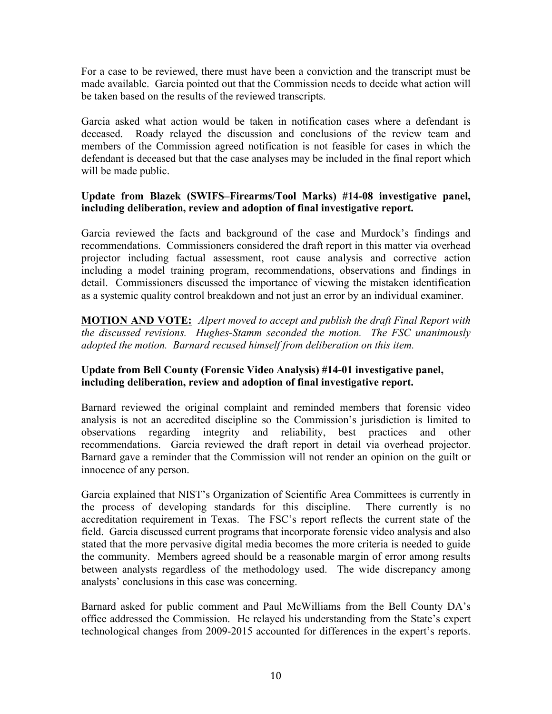For a case to be reviewed, there must have been a conviction and the transcript must be made available. Garcia pointed out that the Commission needs to decide what action will be taken based on the results of the reviewed transcripts.

Garcia asked what action would be taken in notification cases where a defendant is deceased. Roady relayed the discussion and conclusions of the review team and members of the Commission agreed notification is not feasible for cases in which the defendant is deceased but that the case analyses may be included in the final report which will be made public.

# **Update from Blazek (SWIFS–Firearms/Tool Marks) #14-08 investigative panel, including deliberation, review and adoption of final investigative report.**

Garcia reviewed the facts and background of the case and Murdock's findings and recommendations. Commissioners considered the draft report in this matter via overhead projector including factual assessment, root cause analysis and corrective action including a model training program, recommendations, observations and findings in detail. Commissioners discussed the importance of viewing the mistaken identification as a systemic quality control breakdown and not just an error by an individual examiner.

**MOTION AND VOTE:** *Alpert moved to accept and publish the draft Final Report with the discussed revisions. Hughes-Stamm seconded the motion. The FSC unanimously adopted the motion. Barnard recused himself from deliberation on this item.*

# **Update from Bell County (Forensic Video Analysis) #14-01 investigative panel, including deliberation, review and adoption of final investigative report.**

Barnard reviewed the original complaint and reminded members that forensic video analysis is not an accredited discipline so the Commission's jurisdiction is limited to observations regarding integrity and reliability, best practices and other recommendations. Garcia reviewed the draft report in detail via overhead projector. Barnard gave a reminder that the Commission will not render an opinion on the guilt or innocence of any person.

Garcia explained that NIST's Organization of Scientific Area Committees is currently in the process of developing standards for this discipline. There currently is no accreditation requirement in Texas. The FSC's report reflects the current state of the field. Garcia discussed current programs that incorporate forensic video analysis and also stated that the more pervasive digital media becomes the more criteria is needed to guide the community. Members agreed should be a reasonable margin of error among results between analysts regardless of the methodology used. The wide discrepancy among analysts' conclusions in this case was concerning.

Barnard asked for public comment and Paul McWilliams from the Bell County DA's office addressed the Commission. He relayed his understanding from the State's expert technological changes from 2009-2015 accounted for differences in the expert's reports.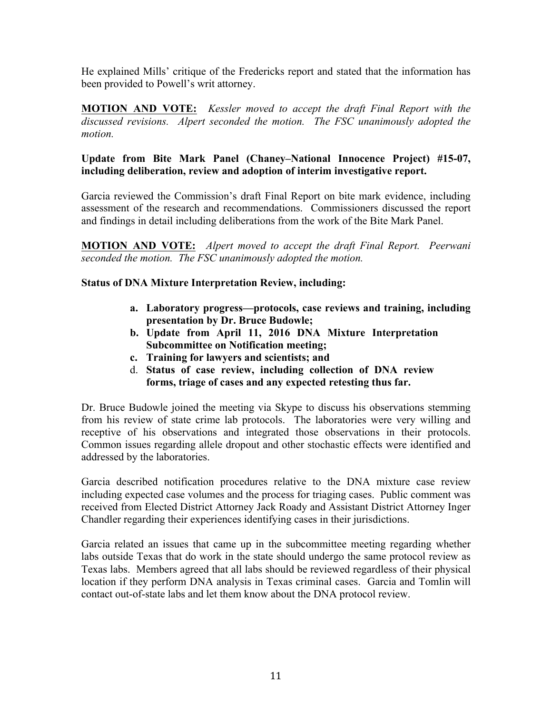He explained Mills' critique of the Fredericks report and stated that the information has been provided to Powell's writ attorney.

**MOTION AND VOTE:** *Kessler moved to accept the draft Final Report with the discussed revisions. Alpert seconded the motion. The FSC unanimously adopted the motion.*

# **Update from Bite Mark Panel (Chaney–National Innocence Project) #15-07, including deliberation, review and adoption of interim investigative report.**

Garcia reviewed the Commission's draft Final Report on bite mark evidence, including assessment of the research and recommendations. Commissioners discussed the report and findings in detail including deliberations from the work of the Bite Mark Panel.

**MOTION AND VOTE:** *Alpert moved to accept the draft Final Report. Peerwani seconded the motion. The FSC unanimously adopted the motion.*

# **Status of DNA Mixture Interpretation Review, including:**

- **a. Laboratory progress—protocols, case reviews and training, including presentation by Dr. Bruce Budowle;**
- **b. Update from April 11, 2016 DNA Mixture Interpretation Subcommittee on Notification meeting;**
- **c. Training for lawyers and scientists; and**
- d. **Status of case review, including collection of DNA review forms, triage of cases and any expected retesting thus far.**

Dr. Bruce Budowle joined the meeting via Skype to discuss his observations stemming from his review of state crime lab protocols. The laboratories were very willing and receptive of his observations and integrated those observations in their protocols. Common issues regarding allele dropout and other stochastic effects were identified and addressed by the laboratories.

Garcia described notification procedures relative to the DNA mixture case review including expected case volumes and the process for triaging cases. Public comment was received from Elected District Attorney Jack Roady and Assistant District Attorney Inger Chandler regarding their experiences identifying cases in their jurisdictions.

Garcia related an issues that came up in the subcommittee meeting regarding whether labs outside Texas that do work in the state should undergo the same protocol review as Texas labs. Members agreed that all labs should be reviewed regardless of their physical location if they perform DNA analysis in Texas criminal cases. Garcia and Tomlin will contact out-of-state labs and let them know about the DNA protocol review.